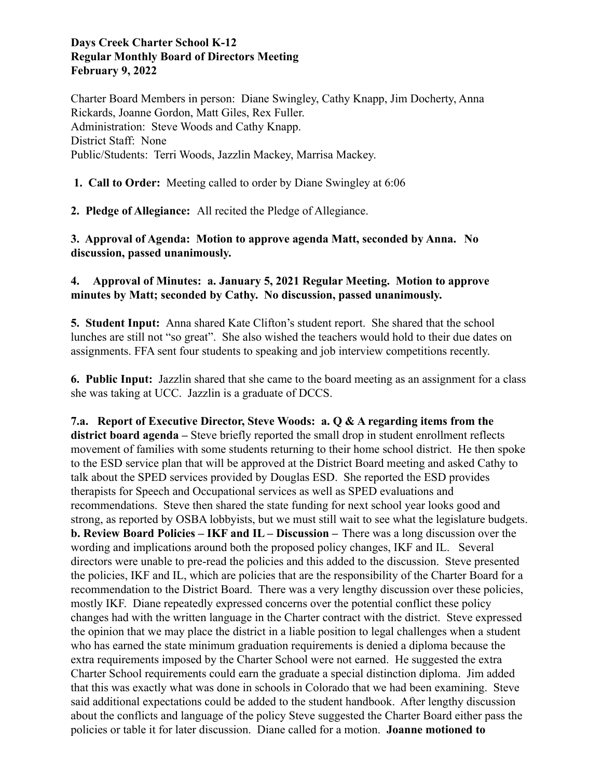# **Days Creek Charter School K-12 Regular Monthly Board of Directors Meeting February 9, 2022**

Charter Board Members in person: Diane Swingley, Cathy Knapp, Jim Docherty, Anna Rickards, Joanne Gordon, Matt Giles, Rex Fuller. Administration: Steve Woods and Cathy Knapp. District Staff: None Public/Students: Terri Woods, Jazzlin Mackey, Marrisa Mackey.

**1. Call to Order:** Meeting called to order by Diane Swingley at 6:06

**2. Pledge of Allegiance:** All recited the Pledge of Allegiance.

**3. Approval of Agenda: Motion to approve agenda Matt, seconded by Anna. No discussion, passed unanimously.**

# **4. Approval of Minutes: a. January 5, 2021 Regular Meeting. Motion to approve minutes by Matt; seconded by Cathy. No discussion, passed unanimously.**

**5. Student Input:** Anna shared Kate Clifton's student report. She shared that the school lunches are still not "so great". She also wished the teachers would hold to their due dates on assignments. FFA sent four students to speaking and job interview competitions recently.

**6. Public Input:** Jazzlin shared that she came to the board meeting as an assignment for a class she was taking at UCC. Jazzlin is a graduate of DCCS.

**7.a. Report of Executive Director, Steve Woods: a. Q & A regarding items from the district board agenda –** Steve briefly reported the small drop in student enrollment reflects movement of families with some students returning to their home school district. He then spoke to the ESD service plan that will be approved at the District Board meeting and asked Cathy to talk about the SPED services provided by Douglas ESD. She reported the ESD provides therapists for Speech and Occupational services as well as SPED evaluations and recommendations. Steve then shared the state funding for next school year looks good and strong, as reported by OSBA lobbyists, but we must still wait to see what the legislature budgets. **b. Review Board Policies – IKF and IL – Discussion –** There was a long discussion over the wording and implications around both the proposed policy changes, IKF and IL. Several directors were unable to pre-read the policies and this added to the discussion. Steve presented the policies, IKF and IL, which are policies that are the responsibility of the Charter Board for a recommendation to the District Board. There was a very lengthy discussion over these policies, mostly IKF. Diane repeatedly expressed concerns over the potential conflict these policy changes had with the written language in the Charter contract with the district. Steve expressed the opinion that we may place the district in a liable position to legal challenges when a student who has earned the state minimum graduation requirements is denied a diploma because the extra requirements imposed by the Charter School were not earned. He suggested the extra Charter School requirements could earn the graduate a special distinction diploma. Jim added that this was exactly what was done in schools in Colorado that we had been examining. Steve said additional expectations could be added to the student handbook. After lengthy discussion about the conflicts and language of the policy Steve suggested the Charter Board either pass the policies or table it for later discussion. Diane called for a motion. **Joanne motioned to**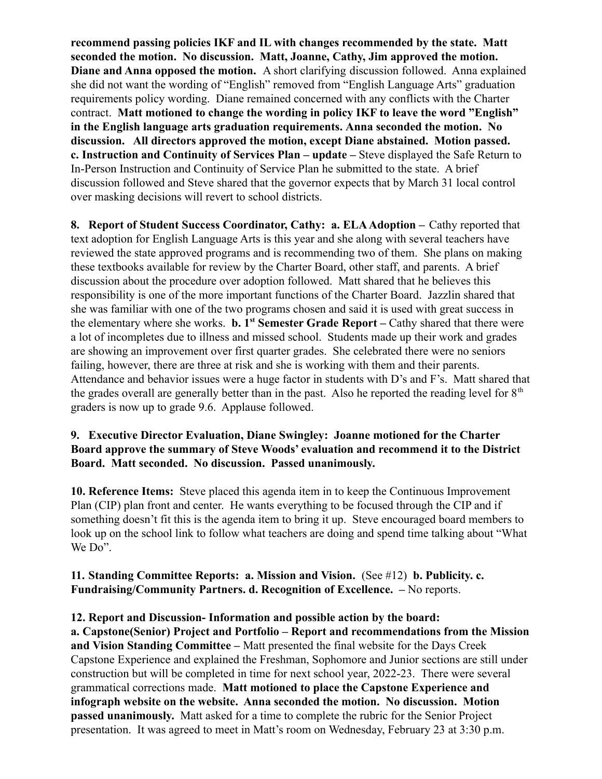**recommend passing policies IKF and IL with changes recommended by the state. Matt seconded the motion. No discussion. Matt, Joanne, Cathy, Jim approved the motion. Diane and Anna opposed the motion.** A short clarifying discussion followed. Anna explained she did not want the wording of "English" removed from "English Language Arts" graduation requirements policy wording. Diane remained concerned with any conflicts with the Charter contract. **Matt motioned to change the wording in policy IKF to leave the word "English" in the English language arts graduation requirements. Anna seconded the motion. No discussion. All directors approved the motion, except Diane abstained. Motion passed. c. Instruction and Continuity of Services Plan – update –** Steve displayed the Safe Return to In-Person Instruction and Continuity of Service Plan he submitted to the state. A brief discussion followed and Steve shared that the governor expects that by March 31 local control over masking decisions will revert to school districts.

**8. Report of Student Success Coordinator, Cathy: a. ELAAdoption –** Cathy reported that text adoption for English Language Arts is this year and she along with several teachers have reviewed the state approved programs and is recommending two of them. She plans on making these textbooks available for review by the Charter Board, other staff, and parents. A brief discussion about the procedure over adoption followed. Matt shared that he believes this responsibility is one of the more important functions of the Charter Board. Jazzlin shared that she was familiar with one of the two programs chosen and said it is used with great success in the elementary where she works. **b. 1st Semester Grade Report –** Cathy shared that there were a lot of incompletes due to illness and missed school. Students made up their work and grades are showing an improvement over first quarter grades. She celebrated there were no seniors failing, however, there are three at risk and she is working with them and their parents. Attendance and behavior issues were a huge factor in students with D's and F's. Matt shared that the grades overall are generally better than in the past. Also he reported the reading level for  $8<sup>th</sup>$ graders is now up to grade 9.6. Applause followed.

### **9. Executive Director Evaluation, Diane Swingley: Joanne motioned for the Charter Board approve the summary of Steve Woods' evaluation and recommend it to the District Board. Matt seconded. No discussion. Passed unanimously.**

**10. Reference Items:** Steve placed this agenda item in to keep the Continuous Improvement Plan (CIP) plan front and center. He wants everything to be focused through the CIP and if something doesn't fit this is the agenda item to bring it up. Steve encouraged board members to look up on the school link to follow what teachers are doing and spend time talking about "What We Do".

#### **11. Standing Committee Reports: a. Mission and Vision.** (See #12) **b. Publicity. c. Fundraising/Community Partners. d. Recognition of Excellence. –** No reports.

### **12. Report and Discussion- Information and possible action by the board:**

**a. Capstone(Senior) Project and Portfolio – Report and recommendations from the Mission and Vision Standing Committee –** Matt presented the final website for the Days Creek Capstone Experience and explained the Freshman, Sophomore and Junior sections are still under construction but will be completed in time for next school year, 2022-23. There were several grammatical corrections made. **Matt motioned to place the Capstone Experience and infograph website on the website. Anna seconded the motion. No discussion. Motion passed unanimously.** Matt asked for a time to complete the rubric for the Senior Project presentation. It was agreed to meet in Matt's room on Wednesday, February 23 at 3:30 p.m.